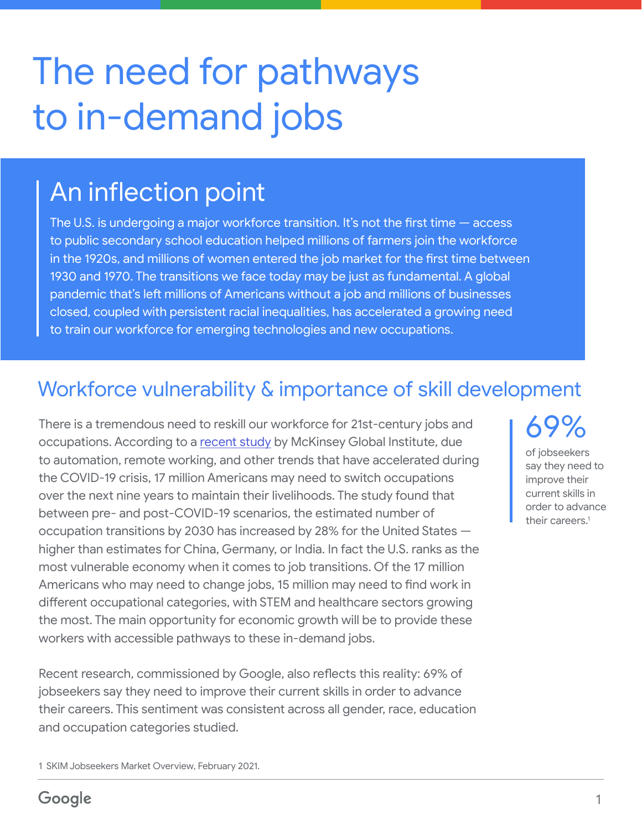# The need for pathways to in-demand jobs

### An inflection point

The U.S. is undergoing a major workforce transition. It's not the first time — access to public secondary school education helped millions of farmers join the workforce in the 1920s, and millions of women entered the job market for the first time between 1930 and 1970. The transitions we face today may be just as fundamental. A global pandemic that's left millions of Americans without a job and millions of businesses closed, coupled with persistent racial inequalities, has accelerated a growing need to train our workforce for emerging technologies and new occupations.

### Workforce vulnerability & importance of skill development

There is a tremendous need to reskill our workforce for 21st-century jobs and  $\left\{69\% \right.$  Consequentions. According to a <u>recent study</u> by McKinsey Global Institute, due to automation, remote working, and other trends that have accelerated during the COVID-19 crisis, 17 million Americans may need to switch occupations over the next nine years to maintain their livelihoods. The study found that between pre- and post-COVID-19 scenarios, the estimated number of occupation transitions by 2030 has increased by 28% for the United States higher than estimates for China, Germany, or India. In fact the U.S. ranks as the most vulnerable economy when it comes to job transitions. Of the 17 million Americans who may need to change jobs, 15 million may need to find work in different occupational categories, with STEM and healthcare sectors growing the most. The main opportunity for economic growth will be to provide these workers with accessible pathways to these in-demand jobs.

Recent research, commissioned by Google, also reflects this reality: 69% of jobseekers say they need to improve their current skills in order to advance their careers. This sentiment was consistent across all gender, race, education and occupation categories studied.

1 SKIM Jobseekers Market Overview, February 2021.

of jobseekers say they need to improve their current skills in order to advance their careers.<sup>1</sup>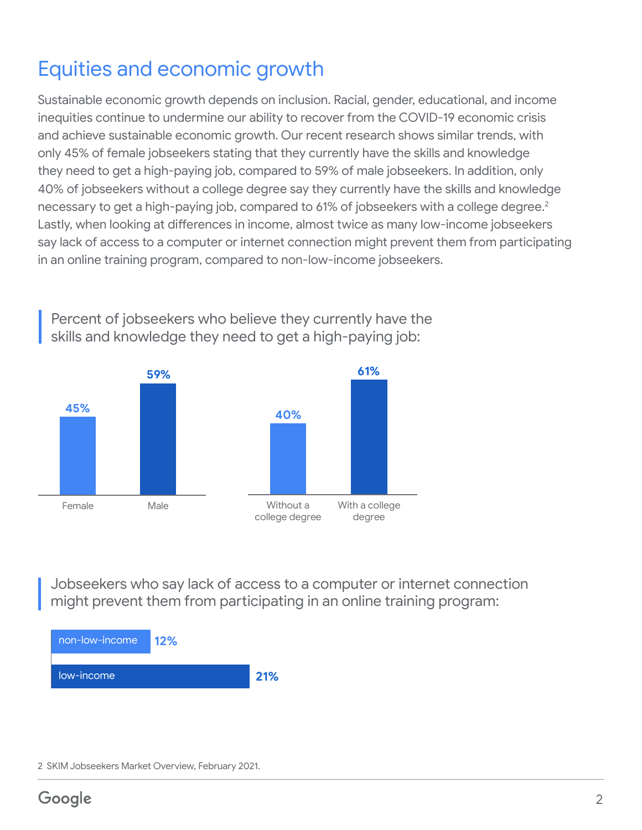### Equities and economic growth

Sustainable economic growth depends on inclusion. Racial, gender, educational, and income inequities continue to undermine our ability to recover from the COVID-19 economic crisis and achieve sustainable economic growth. Our recent research shows similar trends, with only 45% of female jobseekers stating that they currently have the skills and knowledge they need to get a high-paying job, compared to 59% of male jobseekers. In addition, only 40% of jobseekers without a college degree say they currently have the skills and knowledge necessary to get a high-paying job, compared to 61% of jobseekers with a college degree.<sup>2</sup> Lastly, when looking at differences in income, almost twice as many low-income jobseekers say lack of access to a computer or internet connection might prevent them from participating in an online training program, compared to non-low-income jobseekers.



Percent of jobseekers who believe they currently have the skills and knowledge they need to get a high-paying job:

Jobseekers who say lack of access to a computer or internet connection might prevent them from participating in an online training program:



<sup>2</sup> SKIM Jobseekers Market Overview, February 2021.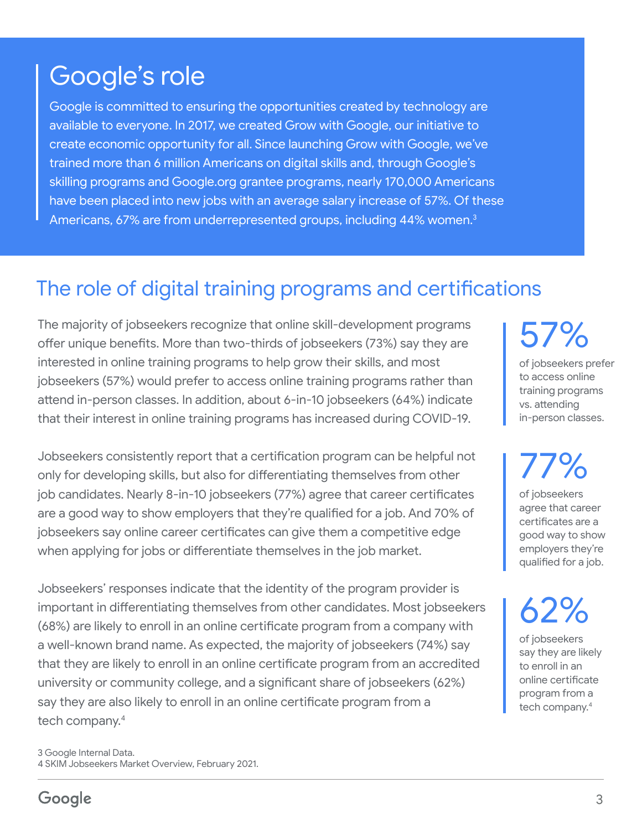## Google's role

Google is committed to ensuring the opportunities created by technology are available to everyone. In 2017, we created Grow with Google, our initiative to create economic opportunity for all. Since launching Grow with Google, we've trained more than 6 million Americans on digital skills and, through Google's skilling programs and Google.org grantee programs, nearly 170,000 Americans have been placed into new jobs with an average salary increase of 57%. Of these Americans, 67% are from underrepresented groups, including 44% women.<sup>3</sup>

#### The role of digital training programs and certifications

The majority of jobseekers recognize that online skill-development programs offer unique benefits. More than two-thirds of jobseekers (73%) say they are interested in online training programs to help grow their skills, and most jobseekers (57%) would prefer to access online training programs rather than attend in-person classes. In addition, about 6-in-10 jobseekers (64%) indicate that their interest in online training programs has increased during COVID-19.

Jobseekers consistently report that a certification program can be helpful not only for developing skills, but also for differentiating themselves from other job candidates. Nearly 8-in-10 jobseekers (77%) agree that career certificates are a good way to show employers that they're qualified for a job. And 70% of jobseekers say online career certificates can give them a competitive edge when applying for jobs or differentiate themselves in the job market.

Jobseekers' responses indicate that the identity of the program provider is important in differentiating themselves from other candidates. Most jobseekers (68%) are likely to enroll in an online certificate program from a company with a well-known brand name. As expected, the majority of jobseekers (74%) say that they are likely to enroll in an online certificate program from an accredited university or community college, and a significant share of jobseekers (62%) say they are also likely to enroll in an online certificate program from a tech company.4

3 Google Internal Data. 4 SKIM Jobseekers Market Overview, February 2021. 57%

of jobseekers prefer to access online training programs vs. attending in-person classes.

77% of jobseekers agree that career certificates are a good way to show employers they're

qualified for a job.

62%

of jobseekers say they are likely to enroll in an online certificate program from a tech company.<sup>4</sup>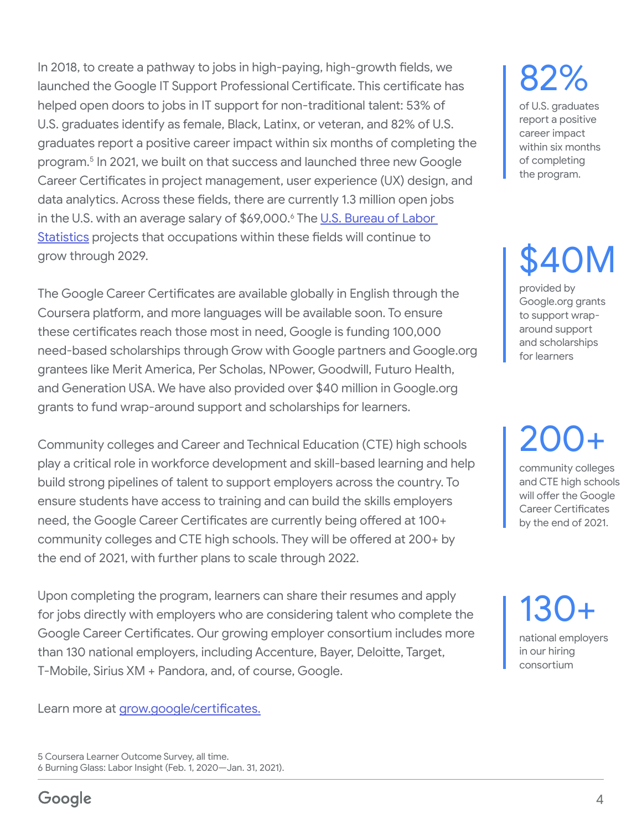In 2018, to create a pathway to jobs in high-paying, high-growth fields, we launched the Google IT Support Professional Certificate. This certificate has helped open doors to jobs in IT support for non-traditional talent: 53% of U.S. graduates identify as female, Black, Latinx, or veteran, and 82% of U.S. graduates report a positive career impact within six months of completing the program.5 In 2021, we built on that success and launched three new Google Career Certificates in project management, user experience (UX) design, and data analytics. Across these fields, there are currently 1.3 million open jobs in the U.S. with an average salary of \$69,000.<sup>6</sup> The <u>U.S. Bureau of Labor</u> [Statistics](https://www.bls.gov/emp/tables/occupational-projections-and-characteristics.htm) projects that occupations within these fields will continue to grow through 2029.

The Google Career Certificates are available globally in English through the Coursera platform, and more languages will be available soon. To ensure these certificates reach those most in need, Google is funding 100,000 need-based scholarships through Grow with Google partners and Google.org grantees like Merit America, Per Scholas, NPower, Goodwill, Futuro Health, and Generation USA. We have also provided over \$40 million in Google.org grants to fund wrap-around support and scholarships for learners.

Community colleges and Career and Technical Education (CTE) high schools play a critical role in workforce development and skill-based learning and help build strong pipelines of talent to support employers across the country. To ensure students have access to training and can build the skills employers need, the Google Career Certificates are currently being offered at 100+ community colleges and CTE high schools. They will be offered at 200+ by the end of 2021, with further plans to scale through 2022.

Upon completing the program, learners can share their resumes and apply for jobs directly with employers who are considering talent who complete the Google Career Certificates. Our growing employer consortium includes more than 130 national employers, including Accenture, Bayer, Deloitte, Target, T-Mobile, Sirius XM + Pandora, and, of course, Google.

Learn more at [grow.google/certificates](http://grow.google/certificates).

5 Coursera Learner Outcome Survey, all time. 6 Burning Glass: Labor Insight (Feb. 1, 2020—Jan. 31, 2021).

# 82%

of U.S. graduates report a positive career impact within six months of completing the program.

# \$40M

provided by Google.org grants to support wraparound support and scholarships for learners

200+

community colleges and CTE high schools will offer the Google Career Certificates by the end of 2021.

130+ national employers in our hiring consortium